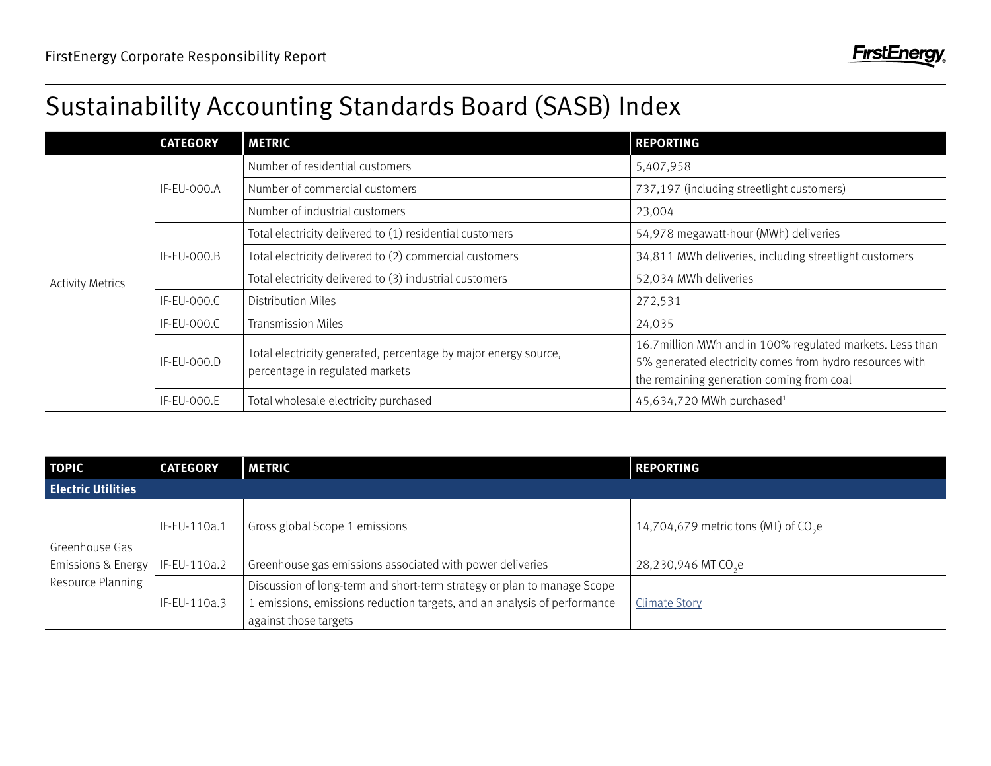## Sustainability Accounting Standards Board (SASB) Index

|                         | <b>CATEGORY</b> | <b>METRIC</b>                                                                                      | <b>REPORTING</b>                                                                                                                                                   |
|-------------------------|-----------------|----------------------------------------------------------------------------------------------------|--------------------------------------------------------------------------------------------------------------------------------------------------------------------|
| <b>Activity Metrics</b> | IF-EU-000.A     | Number of residential customers                                                                    | 5,407,958                                                                                                                                                          |
|                         |                 | Number of commercial customers                                                                     | 737,197 (including streetlight customers)                                                                                                                          |
|                         |                 | Number of industrial customers                                                                     | 23,004                                                                                                                                                             |
|                         | IF-EU-000.B     | Total electricity delivered to (1) residential customers                                           | 54,978 megawatt-hour (MWh) deliveries                                                                                                                              |
|                         |                 | Total electricity delivered to (2) commercial customers                                            | 34,811 MWh deliveries, including streetlight customers                                                                                                             |
|                         |                 | Total electricity delivered to (3) industrial customers                                            | 52,034 MWh deliveries                                                                                                                                              |
|                         | IF-EU-000.C     | Distribution Miles                                                                                 | 272,531                                                                                                                                                            |
|                         | IF-EU-000.C     | <b>Transmission Miles</b>                                                                          | 24,035                                                                                                                                                             |
|                         | IF-EU-000.D     | Total electricity generated, percentage by major energy source,<br>percentage in regulated markets | 16.7 million MWh and in 100% regulated markets. Less than<br>5% generated electricity comes from hydro resources with<br>the remaining generation coming from coal |
|                         | IF-EU-000.E     | Total wholesale electricity purchased                                                              | 45,634,720 MWh purchased <sup>1</sup>                                                                                                                              |

| TOPIC                                                                | <b>CATEGORY</b> | <b>METRIC</b>                                                                                                                                                                | <b>REPORTING</b>                      |  |  |  |
|----------------------------------------------------------------------|-----------------|------------------------------------------------------------------------------------------------------------------------------------------------------------------------------|---------------------------------------|--|--|--|
| <b>Electric Utilities</b>                                            |                 |                                                                                                                                                                              |                                       |  |  |  |
| Greenhouse Gas<br><b>Emissions &amp; Energy</b><br>Resource Planning | IF-EU-110a.1    | Gross global Scope 1 emissions                                                                                                                                               | 14,704,679 metric tons (MT) of $CO2e$ |  |  |  |
|                                                                      | IF-EU-110a.2    | Greenhouse gas emissions associated with power deliveries                                                                                                                    | 28,230,946 MT CO <sub>s</sub> e       |  |  |  |
|                                                                      | IF-EU-110a.3    | Discussion of long-term and short-term strategy or plan to manage Scope<br>I emissions, emissions reduction targets, and an analysis of performance<br>against those targets | <b>Climate Story</b>                  |  |  |  |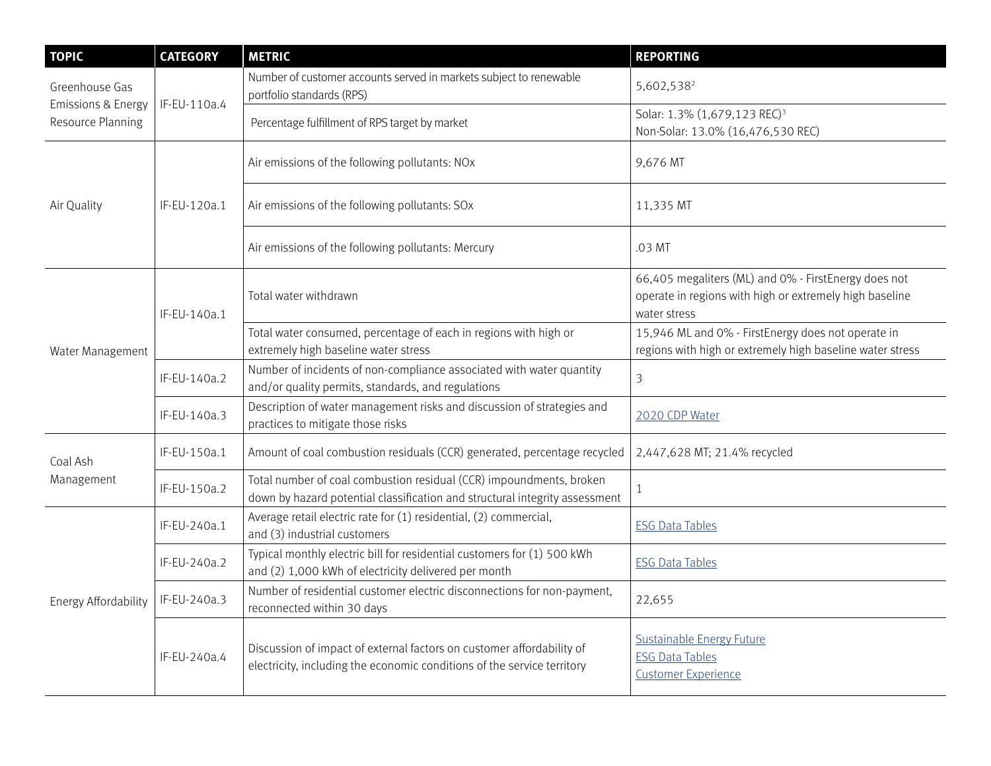| <b>TOPIC</b>                                                         | <b>CATEGORY</b> | <b>METRIC</b>                                                                                                                                      | <b>REPORTING</b>                                                                                                                |
|----------------------------------------------------------------------|-----------------|----------------------------------------------------------------------------------------------------------------------------------------------------|---------------------------------------------------------------------------------------------------------------------------------|
| Greenhouse Gas<br><b>Emissions &amp; Energy</b><br>Resource Planning | IF-EU-110a.4    | Number of customer accounts served in markets subject to renewable<br>portfolio standards (RPS)                                                    | 5,602,538 <sup>2</sup>                                                                                                          |
|                                                                      |                 | Percentage fulfillment of RPS target by market                                                                                                     | Solar: 1.3% (1,679,123 REC) <sup>3</sup><br>Non-Solar: 13.0% (16,476,530 REC)                                                   |
| Air Quality                                                          | IF-EU-120a.1    | Air emissions of the following pollutants: NOx                                                                                                     | 9,676 MT                                                                                                                        |
|                                                                      |                 | Air emissions of the following pollutants: SOx                                                                                                     | 11,335 MT                                                                                                                       |
|                                                                      |                 | Air emissions of the following pollutants: Mercury                                                                                                 | .03 MT                                                                                                                          |
| Water Management                                                     | IF-EU-140a.1    | Total water withdrawn                                                                                                                              | 66,405 megaliters (ML) and 0% - FirstEnergy does not<br>operate in regions with high or extremely high baseline<br>water stress |
|                                                                      |                 | Total water consumed, percentage of each in regions with high or<br>extremely high baseline water stress                                           | 15,946 ML and 0% - FirstEnergy does not operate in<br>regions with high or extremely high baseline water stress                 |
|                                                                      | IF-EU-140a.2    | Number of incidents of non-compliance associated with water quantity<br>and/or quality permits, standards, and regulations                         | $\overline{3}$                                                                                                                  |
|                                                                      | IF-EU-140a.3    | Description of water management risks and discussion of strategies and<br>practices to mitigate those risks                                        | 2020 CDP Water                                                                                                                  |
| Coal Ash<br>Management                                               | IF-EU-150a.1    | Amount of coal combustion residuals (CCR) generated, percentage recycled                                                                           | 2,447,628 MT; 21.4% recycled                                                                                                    |
|                                                                      | IF-EU-150a.2    | Total number of coal combustion residual (CCR) impoundments, broken<br>down by hazard potential classification and structural integrity assessment | $\mathbf{1}$                                                                                                                    |
| Energy Affordability                                                 | IF-EU-240a.1    | Average retail electric rate for (1) residential, (2) commercial,<br>and (3) industrial customers                                                  | <b>ESG Data Tables</b>                                                                                                          |
|                                                                      | IF-EU-240a.2    | Typical monthly electric bill for residential customers for (1) 500 kWh<br>and (2) 1,000 kWh of electricity delivered per month                    | <b>ESG Data Tables</b>                                                                                                          |
|                                                                      | IF-EU-240a.3    | Number of residential customer electric disconnections for non-payment,<br>reconnected within 30 days                                              | 22,655                                                                                                                          |
|                                                                      | IF-EU-240a.4    | Discussion of impact of external factors on customer affordability of<br>electricity, including the economic conditions of the service territory   | Sustainable Energy Future<br><b>ESG Data Tables</b><br><b>Customer Experience</b>                                               |